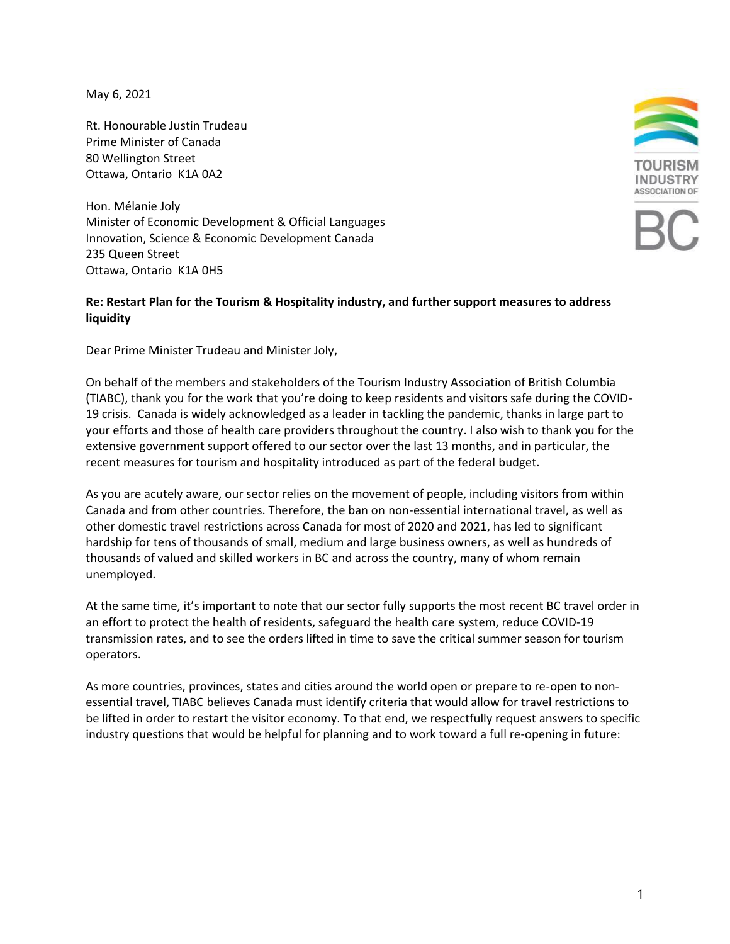May 6, 2021

Rt. Honourable Justin Trudeau Prime Minister of Canada 80 Wellington Street Ottawa, Ontario K1A 0A2

Hon. Mélanie Joly Minister of Economic Development & Official Languages Innovation, Science & Economic Development Canada 235 Queen Street Ottawa, Ontario K1A 0H5

## **Re: Restart Plan for the Tourism & Hospitality industry, and further support measures to address liquidity**

Dear Prime Minister Trudeau and Minister Joly,

On behalf of the members and stakeholders of the Tourism Industry Association of British Columbia (TIABC), thank you for the work that you're doing to keep residents and visitors safe during the COVID-19 crisis. Canada is widely acknowledged as a leader in tackling the pandemic, thanks in large part to your efforts and those of health care providers throughout the country. I also wish to thank you for the extensive government support offered to our sector over the last 13 months, and in particular, the recent measures for tourism and hospitality introduced as part of the federal budget.

As you are acutely aware, our sector relies on the movement of people, including visitors from within Canada and from other countries. Therefore, the ban on non-essential international travel, as well as other domestic travel restrictions across Canada for most of 2020 and 2021, has led to significant hardship for tens of thousands of small, medium and large business owners, as well as hundreds of thousands of valued and skilled workers in BC and across the country, many of whom remain unemployed.

At the same time, it's important to note that our sector fully supports the most recent BC travel order in an effort to protect the health of residents, safeguard the health care system, reduce COVID-19 transmission rates, and to see the orders lifted in time to save the critical summer season for tourism operators.

As more countries, provinces, states and cities around the world open or prepare to re-open to nonessential travel, TIABC believes Canada must identify criteria that would allow for travel restrictions to be lifted in order to restart the visitor economy. To that end, we respectfully request answers to specific industry questions that would be helpful for planning and to work toward a full re-opening in future: